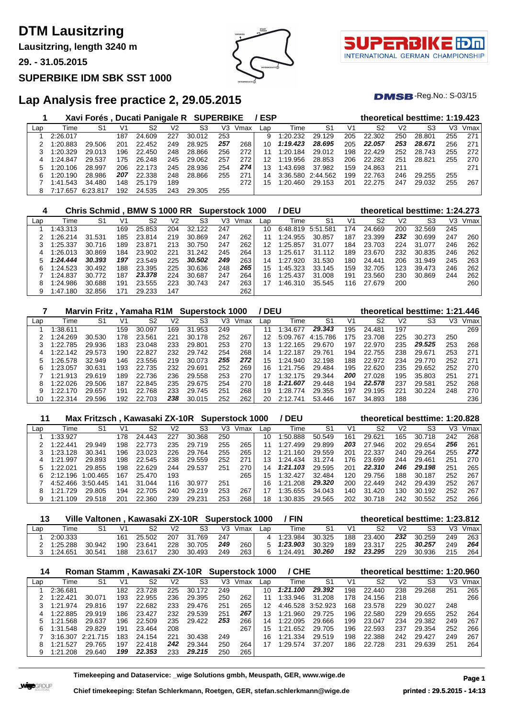**Lausitzring, length 3240 m**

**29. - 31.05.2015**

#### **SUPERBIKE IDM SBK SST 1000**

## **Lap Analysis free practice 2, 29.05.2015**

|     |              | Xavi Forés, Ducati Panigale R SUPERBIKE |     |        |     |        |     |      | /ESP |                   |        |     | theoretical besttime: 1:19.423 |                |        |     |      |
|-----|--------------|-----------------------------------------|-----|--------|-----|--------|-----|------|------|-------------------|--------|-----|--------------------------------|----------------|--------|-----|------|
| Lap | Time         | S1                                      | V1  | S2     | V2  | S3     | V3  | Vmax | Lap  | Time              | S1     | V1  | S2                             | V <sub>2</sub> | S3     | VЗ  | Vmax |
|     | 2:26.017     |                                         | 187 | 24.609 | 227 | 30.012 | 253 |      | 9    | 1:20.232          | 29.129 | 205 | 22.302                         | 250            | 28.801 | 255 | 271  |
|     | 1:20.883     | 29.506                                  | 201 | 22.452 | 249 | 28.925 | 257 | 268  | 10   | 1:19.423          | 28.695 | 205 | 22.057                         | 253            | 28.671 | 256 | 271  |
|     | 1:20.329     | 29.013                                  | 196 | 22.450 | 248 | 28.866 | 256 | 272  | 11   | 1:20.184          | 29.012 | 198 | 22.429                         | 252            | 28.743 | 255 | 272  |
|     | 1:24.847     | 29.537                                  | 175 | 26.248 | 245 | 29.062 | 257 | 272  | 12   | 1:19.956          | 28.853 | 206 | 22.282                         | 251            | 28.821 | 255 | 270  |
| 5   | 1:20.106     | 28.997                                  | 206 | 22.173 | 245 | 28.936 | 254 | 274  | 13   | 1:43.698          | 37.982 | 159 | 24.863                         | 211            |        |     | 271  |
| 6   | 1:20.190     | 28.986                                  | 207 | 22.338 | 248 | 28.866 | 255 | 271  | 14   | 3:36.580 2:44.562 |        | 199 | 22.763                         | 246            | 29.255 | 255 |      |
|     | 1:41.543     | 34.480                                  | 148 | 25.179 | 189 |        |     | 272  | 15   | 1:20.460          | 29.153 | 201 | 22.275                         | 247            | 29.032 | 255 | 267  |
| 8   | 7.657<br>7.1 | 6:23.817                                | 192 | 24.535 | 243 | 29.305 | 255 |      |      |                   |        |     |                                |                |        |     |      |

| 4   |          | Chris Schmid . BMW S 1000 RR |     |        |     |        |     | <b>Superstock 1000</b> |     | / DEU    |                |     |        |     | theoretical besttime: 1:24.273 |     |      |
|-----|----------|------------------------------|-----|--------|-----|--------|-----|------------------------|-----|----------|----------------|-----|--------|-----|--------------------------------|-----|------|
| Lap | Time     | S1                           | V1  | S2     | V2  | S3     | V3. | Vmax                   | Lap | Time     | S <sub>1</sub> | V1  | S2     | V2  | S3                             | V3  | Vmax |
|     | 1:43.313 |                              | 169 | 25.853 | 204 | 32.122 | 247 |                        | 10  | 6:48.819 | 5:51.581       | 174 | 24.669 | 200 | 32.569                         | 245 |      |
|     | 1:26.214 | 31.531                       | 185 | 23.814 | 219 | 30.869 | 247 | 262                    |     | 1:24.955 | 30.857         | 187 | 23.399 | 232 | 30.699                         | 247 | 260  |
|     | 1:25.337 | 30.716                       | 189 | 23.871 | 213 | 30.750 | 247 | 262                    | 12  | 1:25.857 | 31.077         | 184 | 23.703 | 224 | 31.077                         | 246 | 262  |
|     | 1:26.013 | 30.869                       | 184 | 23.902 | 221 | 31.242 | 245 | 264                    | 13  | 1:25.617 | 31.112         | 189 | 23.670 | 232 | 30.835                         | 246 | 262  |
|     | 1:24.444 | 30.393                       | 197 | 23.549 | 225 | 30.502 | 249 | 263                    | 14  | 1:27.920 | 31.530         | 180 | 24.441 | 206 | 31.949                         | 245 | 263  |
|     | 1:24.523 | 30.492                       | 188 | 23.395 | 225 | 30.636 | 248 | 265                    | 15  | 1:45.323 | 33.145         | 159 | 32.705 | 123 | 39.473                         | 246 | 262  |
|     | 1:24.837 | 30.772                       | 187 | 23.378 | 224 | 30.687 | 247 | 264                    | 16  | 1:25.437 | 31.008         | 191 | 23.560 | 230 | 30.869                         | 244 | 262  |
|     | 1:24.986 | 30.688                       | 191 | 23.555 | 223 | 30.743 | 247 | 263                    | 17  | 1:46.310 | 35.545         | 116 | 27.679 | 200 |                                |     | 260  |
|     | 1:47.180 | 32.856                       | 171 | 29.233 | 147 |        |     | 262                    |     |          |                |     |        |     |                                |     |      |

|     |          | Marvin Fritz, Yamaha R1M Superstock 1000 |     |        |     |            |     |      | / DEU |               |                |     | theoretical besttime: 1:21.446 |                |        |     |      |
|-----|----------|------------------------------------------|-----|--------|-----|------------|-----|------|-------|---------------|----------------|-----|--------------------------------|----------------|--------|-----|------|
| Lap | Time     | S1                                       | V1  | S2     | V2  | S3         | V3  | Vmax | Lap   | Time          | S <sub>1</sub> | V1  | S2                             | V <sub>2</sub> | S3     | V3  | Vmax |
|     | 1:38.611 |                                          | 159 | 30.097 | 169 | 31<br>.953 | 249 |      |       | 1:34.677      | 29.343         | 195 | 24.481                         | 197            |        |     | 269  |
|     | 1:24.269 | 30.530                                   | 178 | 23.561 | 221 | 30.178     | 252 | 267  | 12    | 5:09.767      | 4:15.786       | 175 | 23.708                         | 225            | 30.273 | 250 |      |
|     | 1:22.785 | 29.936                                   | 183 | 23.048 | 233 | 29.801     | 253 | 270  | 13    | 1:22.165      | 29.670         | 197 | 22.970                         | 235            | 29.525 | 253 | 268  |
|     | 1:22.142 | 29.573                                   | 190 | 22.827 | 232 | 29.742     | 254 | 268  | 14    | 1:22.187      | 29.761         | 194 | 22.755                         | 238            | 29.671 | 253 | 271  |
|     | 1:26.578 | 32.949                                   | 146 | 23.556 | 219 | 30.073     | 255 | 272  | 15    | 1:24.940      | 32.198         | 188 | 22.972                         | 234            | 29.770 | 252 | 271  |
| 6   | 1:23.057 | 30.631                                   | 193 | 22.735 | 232 | 29.691     | 252 | 269  | 16.   | 1:21.756      | 29.484         | 195 | 22.620                         | 235            | 29.652 | 252 | 270  |
|     | 1:21.913 | 29.619                                   | 189 | 22.736 | 236 | 29.558     | 253 | 270  | 17    | 1:32.175      | 29.344         | 200 | 27.028                         | 195            | 35.803 | 251 | 271  |
| 8   | 1:22.026 | 29.506                                   | 187 | 22.845 | 235 | 29.675     | 254 | 270  | 18    | 1:21.607      | 29.448         | 194 | 22.578                         | 237            | 29.581 | 252 | 268  |
|     | 1:22.170 | 29.657                                   | 191 | 22.768 | 233 | 29.745     | 251 | 268  | 19    | .774<br>1:28. | 29.355         | 197 | 29.195                         | 221            | 30.224 | 248 | 270  |
| 10  | 1:22.314 | 29.596                                   | 192 | 22.703 | 238 | 30.015     | 252 | 262  | 20    | 2:12.741      | 53.446         | 167 | 34.893                         | 188            |        |     | 236  |

|     |              | Max Fritzsch, Kawasaki ZX-10R Superstock 1000 |     |        |     |        |     |      |     | / DEU        |        |     | theoretical besttime: 1:20.828 |     |        |     |      |
|-----|--------------|-----------------------------------------------|-----|--------|-----|--------|-----|------|-----|--------------|--------|-----|--------------------------------|-----|--------|-----|------|
| Lap | Time         | S1                                            | V1  | S2     | V2  | S3     | VЗ  | Vmax | Lap | Time         | S1     | V1  | S2                             | V2  | S3     | V3  | Vmax |
|     | 1:33.927     |                                               | 178 | 24.443 | 227 | 30.368 | 250 |      | 10  | 1:50.888     | 50.549 | 161 | 29.621                         | 165 | 30.718 | 242 | 268  |
|     | 1:22.441     | 29.949                                        | 198 | 22.773 | 235 | 29.719 | 255 | 265  |     | 1:27.499     | 29.899 | 203 | 27.946                         | 202 | 29.654 | 256 | 261  |
|     | 1:23.128     | 30.341                                        | 196 | 23.023 | 226 | 29.764 | 255 | 265  | 12  | 1:21<br>.160 | 29.559 | 201 | 22.337                         | 240 | 29.264 | 255 | 272  |
| 4   | 1:21.997     | 29.893                                        | 198 | 22.545 | 238 | 29.559 | 252 | 271  | 13. | 1:24.434     | 31.274 | 176 | 23.699                         | 244 | 29.461 | 251 | 270  |
|     | 1:22.021     | 29.855                                        | 198 | 22.629 | 244 | 29.537 | 251 | 270  | 14  | 1:21.103     | 29.595 | 201 | 22.310                         | 246 | 29.198 | 251 | 265  |
|     | 2:12.196     | 1:00.465                                      | 167 | 25.470 | 193 |        |     | 265  | 15  | 1:32.427     | 32.484 | 120 | 29.756                         | 188 | 30.187 | 252 | 267  |
|     | 4:52.466     | 3:50.445                                      | 141 | 31.044 | 116 | 30.977 | 251 |      | 16  | 1:21.208     | 29.320 | 200 | 22.449                         | 242 | 29.439 | 252 | 267  |
|     | .729<br>1.21 | 29.805                                        | 194 | 22.705 | 240 | 29.219 | 253 | 267  |     | 1:35.655     | 34.043 | 140 | 31.420                         | 130 | 30.192 | 252 | 267  |
| 9   | 1:21.109     | 29.518                                        | 201 | 22.360 | 239 | 29.231 | 253 | 268  | 18  | 1:30.835     | 29.565 | 202 | 30.718                         | 242 | 30.552 | 252 | 266  |

|     |          |        |     | Ville Valtonen, Kawasaki ZX-10R Superstock 1000 |                |        |     |                  |     | ' FIN    |        |     | theoretical besttime: 1:23.812 |     |        |     |      |
|-----|----------|--------|-----|-------------------------------------------------|----------------|--------|-----|------------------|-----|----------|--------|-----|--------------------------------|-----|--------|-----|------|
| ∟ap | Time     |        |     |                                                 | V <sub>2</sub> | S3     | V3  | Vmax             | Lap | Time     | -S1    | V1  |                                | V2  | S3     |     | Vmax |
|     | 2:00.333 |        | 161 | 25.502                                          | 207            | 31.769 | 247 |                  |     | 1:23.984 | 30.325 | 188 | 23.400                         | 232 | 30.259 | 249 | 263  |
|     | 1:25.288 | 30.942 | 190 | 23.641                                          | 228            | 30.705 | 249 | 260 <sub>1</sub> |     | 1:23.903 | 30.329 | 189 | 23.317                         | 225 | 30.257 | 249 | 264  |
|     | 1:24.651 | 30.541 | 188 | 23.617                                          | 230            | 30.493 | 249 | 263              |     | 1:24.491 | 30.260 | 192 | 23.295                         | 229 | 30.936 | 215 | 264  |

| 14  |          | Roman Stamm, Kawasaki ZX-10R Superstock 1000 |     |        |     |        |     |      |     | / CHE    |          |     | theoretical besttime: 1:20.960 |     |        |     |      |
|-----|----------|----------------------------------------------|-----|--------|-----|--------|-----|------|-----|----------|----------|-----|--------------------------------|-----|--------|-----|------|
| Lap | Time     | S1                                           | V1  | S2     | V2  | S3     | V3  | Vmax | Lap | Time     | S1       | V1  | S2                             | V2  | S3     | VЗ  | Vmax |
|     | 2:36.681 |                                              | 182 | 23.728 | 225 | 30.172 | 249 |      | 10  | 1:21.100 | 29.392   | 198 | 22.440                         | 238 | 29.268 | 251 | 265  |
|     | 1:22.421 | 30.071                                       | 193 | 22.955 | 236 | 29.395 | 250 | 262  |     | 1:33.946 | 31.208   | 178 | 24.156                         | 218 |        |     | 266  |
|     | 1:21.974 | 29.816                                       | 197 | 22.682 | 233 | 29.476 | 251 | 265  | 12  | 4:46.528 | 3:52.923 | 168 | 23.578                         | 229 | 30.027 | 248 |      |
| 4   | 1:22.885 | 29.919                                       | 186 | 23.427 | 232 | 29.539 | 251 | 267  | 13  | 1:21.960 | 29.725   | 196 | 22.580                         | 229 | 29.655 | 252 | 264  |
|     | 1:21.568 | 29.637                                       | 196 | 22.509 | 235 | 29.422 | 253 | 266  | 14  | 1:22.095 | 29.666   | 199 | 23.047                         | 234 | 29.382 | 249 | 267  |
|     | 1:31.548 | 29.829                                       | 191 | 23.464 | 208 |        |     | 267  | 15  | 1:21.652 | 29.705   | 196 | 22.593                         | 237 | 29.354 | 252 | 266  |
|     | 3:16.307 | 2:21.715                                     | 183 | 24.154 | 221 | 30.438 | 249 |      | 16  | 1:21.334 | 29.519   | 198 | 22.388                         | 242 | 29.427 | 249 | 267  |
|     | 1:21.527 | 29.765                                       | 197 | 22.418 | 242 | 29.344 | 250 | 264  |     | 1:29.574 | 37.207   | 186 | 22.728                         | 231 | 29.639 | 251 | 264  |
| 9   | 1:21.208 | 29.640                                       | 199 | 22.353 | 233 | 29.215 | 250 | 265  |     |          |          |     |                                |     |        |     |      |

**Timekeeping and Dataservice: \_wige Solutions gmbh, Meuspath, GER, www.wige.de Page 1**



 $DMSB$ -Reg.No.:  $S-03/15$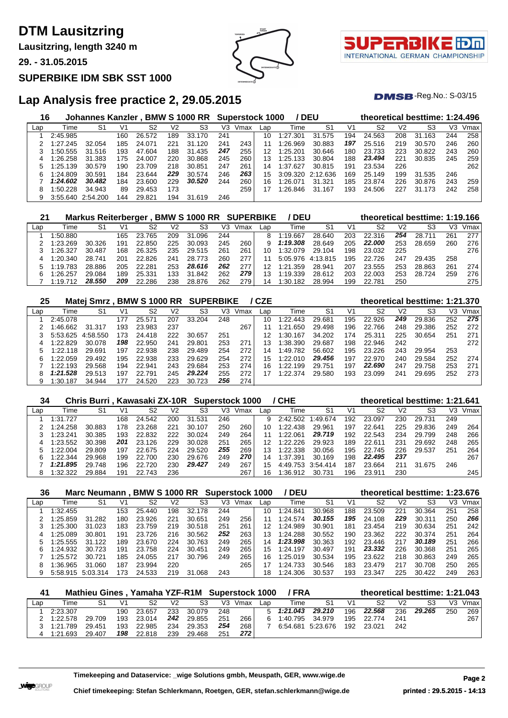**Lausitzring, length 3240 m**

**29. - 31.05.2015**

#### **SUPERBIKE IDM SBK SST 1000**



T. INTERNATIONAL GERMAN CHAMPIONSHIP

 $DMSB$ -Reg.No.:  $S-03/15$ 

## **Lap Analysis free practice 2, 29.05.2015**

| 16  |          | Johannes Kanzler, BMW S 1000 RR |     |        |     |            |     | <b>Superstock 1000</b> |     |          | / DEU    |                |        |                | theoretical besttime: 1:24.496 |     |      |
|-----|----------|---------------------------------|-----|--------|-----|------------|-----|------------------------|-----|----------|----------|----------------|--------|----------------|--------------------------------|-----|------|
| Lap | Time     | S1                              | V1  | S2     | V2  | S3         | V3  | Vmax                   | Lap | Time     | S1       | V <sub>1</sub> | S2     | V <sub>2</sub> | S3                             | V3  | Vmax |
|     | 2:45.985 |                                 | 160 | 26.572 | 189 | 33.170     | 241 |                        | 10  | 1:27.301 | 31.575   | 194            | 24.563 | 208            | 31<br>.163                     | 244 | 258  |
|     | 1:27.245 | 32.054                          | 185 | 24.071 | 221 | .120<br>31 | 241 | 243                    | 11  | 1:26.969 | 30.883   | 197            | 25.516 | 219            | 30.570                         | 246 | 260  |
|     | 1:50.555 | 31.516                          | 193 | 47.604 | 188 | 31.435     | 247 | 255                    | 12  | 1:25.201 | 30.646   | 180            | 23.733 | 223            | 30.822                         | 243 | 260  |
| 4   | 1:26.258 | 31.383                          | 175 | 24.007 | 220 | 30.868     | 245 | 260                    | 13  | 1:25.133 | 30.804   | 188            | 23,494 | 221            | 30.835                         | 245 | 259  |
| 5   | 1:25.139 | 30.579                          | 190 | 23.709 | 218 | 30.851     | 247 | 261                    | 14  | 1:37.627 | 30.815   | 191            | 23.534 | 226            |                                |     | 262  |
| 6   | 1:24.809 | 30.591                          | 184 | 23.644 | 229 | 30.574     | 246 | 263                    | 15  | 3:09.320 | 2:12.636 | 169            | 25.149 | 199            | 31.535                         | 246 |      |
|     | 1:24.602 | 30.482                          | 184 | 23.600 | 229 | 30.520     | 244 | 260                    | 16  | 1:26.071 | 31.321   | 185            | 23.874 | 226            | 30.876                         | 243 | 259  |
| 8   | 1:50.228 | 34.943                          | 89  | 29.453 | 173 |            |     | 259                    |     | 1:26.846 | 31.167   | 193            | 24.506 | 227            | 31.173                         | 242 | 258  |
| 9   | 3:55.640 | 2:54.200                        | 144 | 29.821 | 194 | 31.619     | 246 |                        |     |          |          |                |        |                |                                |     |      |

| 21  |          | <b>Markus Reiterberger</b> |     |        |     | <b>BMW S 1000 RR</b> |     | <b>SUPERBIKE</b> |     | ' DEU        |          |     | theoretical besttime: 1:19.166 |     |        |     |      |
|-----|----------|----------------------------|-----|--------|-----|----------------------|-----|------------------|-----|--------------|----------|-----|--------------------------------|-----|--------|-----|------|
| Lap | Time     | S1                         | V1  | S2     | V2  | S3                   | V3  | Vmax             | Lap | Гіmе         | S1       | V1  | S2                             | V2  | S3     | VЗ  | Vmax |
|     | 1:50.880 |                            | 165 | 23.765 | 209 | 31<br>.096           | 244 |                  |     | 1:19.667     | 28.640   | 203 | 22.316                         | 254 | 28.711 | 261 | 277  |
|     | 1:23.269 | 30.326                     | 191 | 22.850 | 225 | 30.093               | 245 | 260              | g   | 1:19.308     | 28.649   | 205 | 22,000                         | 253 | 28.659 | 260 | 276  |
|     | 1:26.327 | 30.487                     | 168 | 26.325 | 235 | 29.515               | 261 | 261              | 10  | 1:32.079     | 29.104   | 198 | 23.032                         | 225 |        |     | 276  |
| 4   | 1:20.340 | 28.741                     | 20٬ | 22.826 | 241 | 28.<br>.773          | 260 | 277              |     | 5:05.976     | 4:13.815 | 195 | 22.726                         | 247 | 29.435 | 258 |      |
|     | 1:19.783 | 28.886                     | 205 | 22.281 | 253 | 28.616               | 262 | 277              |     | 1:21.359     | 28.941   | 207 | 23.555                         | 253 | 28.863 | 261 | 274  |
| 6   | 1:26.257 | 29.084                     | 189 | 25.331 | 133 | 31<br>.842           | 262 | 279              |     | 1:19.339     | 28.612   | 203 | 22.003                         | 253 | 28.724 | 259 | 276  |
|     | 1:19.712 | 28.550                     | 209 | 22.286 | 238 | 28.876               | 262 | 279              | 14  | .182<br>-30. | 28.994   | 199 | 22.781                         | 250 |        |     | 275  |

| 25  |          | Matei Smrz. |     | <b>BMW S 1000 RR SUPERBIKE</b> |     |        |     |      | / CZE |          |        |     | theoretical besttime: 1:21.370 |     |        |     |      |
|-----|----------|-------------|-----|--------------------------------|-----|--------|-----|------|-------|----------|--------|-----|--------------------------------|-----|--------|-----|------|
| Lap | Time     | S1          | V1  | S2                             | V2  | S3     | V3  | Vmax | Lap   | Time     | S1     | V1  | S2                             | V2  | S3     | VЗ  | Vmax |
|     | 2:45.078 |             | 177 | 25.571                         | 207 | 33.204 | 248 |      | 10    | 1:22.443 | 29.681 | 195 | 22.926                         | 249 | 29.836 | 252 | 275  |
|     | 1:46.662 | 31.317      | 193 | 23.983                         | 237 |        |     | 267  |       | 1:21.650 | 29.498 | 196 | 22.766                         | 248 | 29.386 | 252 | 272  |
|     | 5:53.625 | 4:58.550    | 173 | 24.418                         | 222 | 30.657 | 251 |      |       | 1:30.167 | 34.202 | 174 | 25.311                         | 225 | 30.654 | 251 | 271  |
| 4   | 1:22.829 | 30.078      | 198 | 22.950                         | 241 | 29.801 | 253 | 271  | 13    | 1:38.390 | 29.687 | 198 | 22.946                         | 242 |        |     | 272  |
| 5.  | 1:22.118 | 29.691      | 197 | 22.938                         | 238 | 29.489 | 254 | 272  | 14    | 1:49.782 | 56.602 | 195 | 23.226                         | 243 | 29.954 | 253 |      |
| 6   | 1:22.059 | 29.492      | 195 | 22.938                         | 233 | 29.629 | 254 | 272  | 15    | 1:22.010 | 29.456 | 197 | 22.970                         | 240 | 29.584 | 252 | 274  |
|     | 1:22.193 | 29.568      | 194 | 22.941                         | 243 | 29.684 | 253 | 274  | 16    | 1:22.199 | 29.751 | 197 | 22.690                         | 247 | 29.758 | 253 | 271  |
| 8   | 1:21.528 | 29.513      | 197 | 22.791                         | 245 | 29.224 | 255 | 272  | 17    | 1:22.374 | 29.580 | 193 | 23.099                         | 241 | 29.695 | 252 | 273  |
|     | 1:30.187 | 34.944      |     | 24.520                         | 223 | 30.723 | 256 | 274  |       |          |        |     |                                |     |        |     |      |

| 34  |          | Chris Burri, Kawasaki ZX-10R Superstock 1000 |     |            |     |            |     |      |     | / CHE    |          |     | theoretical besttime: 1:21.641 |                |        |     |      |
|-----|----------|----------------------------------------------|-----|------------|-----|------------|-----|------|-----|----------|----------|-----|--------------------------------|----------------|--------|-----|------|
| Lap | Time     | S1                                           | V1  | S2         | V2  | S3         | V3  | Vmax | Lap | Time     | S1       | V1  | S2                             | V <sub>2</sub> | S3     | V3  | Vmax |
|     | 1:31.727 |                                              | 168 | 24.542     | 200 | 31<br>.531 | 246 |      | 9   | 2:42.502 | 1.49674  | 192 | 23.097                         | 230            | 29.731 | 249 |      |
|     | 1:24.258 | 30.883                                       | 178 | 23.268     | 221 | 30.107     | 250 | 260  | 10  | 1:22.438 | 29.961   | 197 | 22.641                         | 225            | 29.836 | 249 | 264  |
|     | 1:23.241 | 30.385                                       | 193 | 22.832     | 222 | 30.024     | 249 | 264  |     | 1:22.061 | 29.719   | 192 | 22.543                         | 234            | 29.799 | 248 | 266  |
| 4   | 1:23.552 | 30.398                                       | 201 | 23.126     | 229 | 30.028     | 251 | 265  | 12  | 1:22.226 | 29.923   | 189 | 22.61'                         | 231            | 29.692 | 248 | 265  |
|     | 1:22.004 | 29.809                                       | 197 | 22.675     | 224 | 29.520     | 255 | 269  | 13  | 1:22.338 | 30.056   | 195 | 22.745                         | 226            | 29.537 | 251 | 264  |
|     | 1:22.344 | 29.968                                       | 199 | 22.<br>700 | 230 | 29.676     | 249 | 270  | 14  | 1:37.391 | 30.169   | 198 | 22,495                         | 237            |        |     | 267  |
|     | 1:21.895 | 29.748                                       | 196 | 22.720     | 230 | 29.427     | 249 | 267  | 15  | 4:49.753 | 3:54.414 | 187 | 23.664                         | 211            | 31.675 | 246 |      |
|     | 1:32.322 | 29.884                                       | 191 | 22.743     | 236 |            |     | 267  | 16  | :36.912  | 30.731   | 196 | 23.911                         | 230            |        |     | 245  |

| 36  |          | Marc Neumann. |     | <b>BMW S 1000 RR</b> |     |            | <b>Superstock 1000</b> |      |     | <b>DEU</b>   |        |     | theoretical besttime: 1:23.676 |                |        |     |      |
|-----|----------|---------------|-----|----------------------|-----|------------|------------------------|------|-----|--------------|--------|-----|--------------------------------|----------------|--------|-----|------|
| Lap | Time     | S1            | V1  | S2                   | V2  | S3         | V3                     | Vmax | Lap | Time         | S1     | V1  | S2                             | V <sub>2</sub> | S3     | VЗ  | Vmax |
|     | 1:32.455 |               | 153 | 25.<br>.440          | 198 | 32.178     | 244                    |      | 10  | 1:24.841     | 30.968 | 188 | 23.509                         | 221            | 30.364 | 251 | 258  |
|     | 1:25.859 | 31.282        | 180 | 23.926               | 221 | 30.651     | 249                    | 256  |     | 1:24.574     | 30.155 | 195 | 24.108                         | 229            | 30.311 | 250 | 266  |
|     | 1:25.300 | 31.023        | 183 | 23.759               | 219 | 30.518     | 251                    | 261  | 12  | 1:24.989     | 30.901 | 181 | 23.454                         | 219            | 30.634 | 251 | 242  |
| 4   | 1:25.089 | 30.801        | 191 | 23.726               | 216 | 30.562     | 252                    | 263  | 13  | 1:24.288     | 30.552 | 190 | 23.362                         | 222            | 30.374 | 251 | 264  |
|     | 1:25.555 | 31.122        | 189 | 23.670               | 224 | 30.763     | 249                    | 265  | 14  | 1:23.998     | 30.363 | 192 | 23.446                         | 217            | 30.189 | 251 | 266  |
|     | 1:24.932 | 30.723        | 191 | 23.758               | 224 | 30.451     | 249                    | 265  | 15  | :24.197      | 30.497 | 191 | 23.332                         | 226            | 30.368 | 251 | 265  |
|     | 1:25.572 | 30.721        | 185 | 24.055               | 217 | 30.796     | 249                    | 265  | 16  | 1:25.019     | 30.534 | 195 | 23.622                         | 218            | 30.863 | 249 | 265  |
| 8   | 1:36.965 | 31.060        | 187 | 23.994               | 220 |            |                        | 265  |     | .733<br>-24. | 30.546 | 183 | 23.479                         | 217            | 30.708 | 250 | 265  |
|     | 5:58.915 | 5:03.314      | 173 | 24.533               | 219 | 31<br>.068 | 243                    |      | 18  | :24.306      | 30.537 | 193 | 23.347                         | 225            | 30.422 | 249 | 263  |

| 41  |          |        |                | Mathieu Gines, Yamaha YZF-R1M Superstock 1000 |                |        |     |      |     | /FRA     |                   |                | theoretical besttime: 1:21.043 |                |        |     |      |
|-----|----------|--------|----------------|-----------------------------------------------|----------------|--------|-----|------|-----|----------|-------------------|----------------|--------------------------------|----------------|--------|-----|------|
| Lap | Time     | S1     | V <sub>1</sub> | S2                                            | V <sub>2</sub> | S3     | V3. | Vmax | Lap | Time     | S1                | V <sub>1</sub> | S2                             | V <sub>2</sub> | S3     | V3  | Vmax |
|     | 2:23.307 |        | 190            | 23.657                                        | 233            | 30.079 | 248 |      | 5   | 1:21.043 | 29.210            | 196            | 22.568                         | 236            | 29.265 | 250 | 269  |
|     | 1:22.578 | 29.709 | 193            | 23.014                                        | 242            | 29.855 | 251 | 266  | 6.  | 1:40.795 | 34.979            | 195            | 22.774                         | 241            |        |     | 267  |
|     | 1:21.789 | 29.451 | 193            | 22.985                                        | 234            | 29.353 | 254 | 268  |     |          | 6:54.681 5:23.676 | 192            | 23.021                         | 242            |        |     |      |
|     | 1:21.693 | 29.407 | 198            | 22.818                                        | 239            | 29.468 | 251 | 272  |     |          |                   |                |                                |                |        |     |      |

**Timekeeping and Dataservice: \_wige Solutions gmbh, Meuspath, GER, www.wige.de Page 2**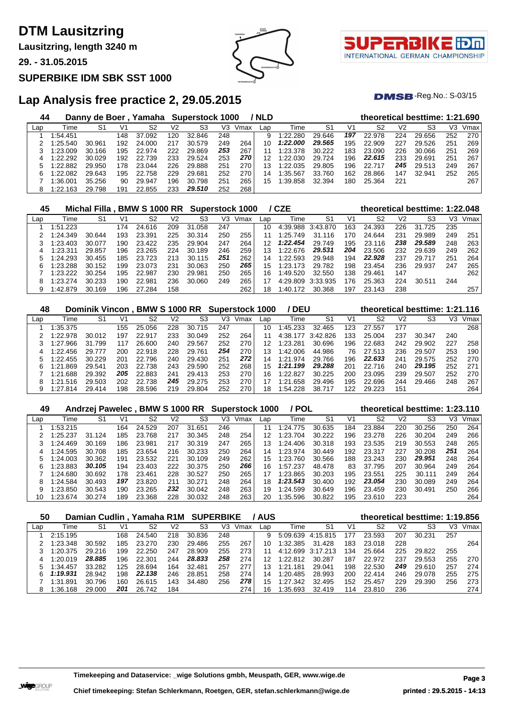**Lausitzring, length 3240 m**

**29. - 31.05.2015**

#### **SUPERBIKE IDM SBK SST 1000**





 $DMSB$ -Reg.No.:  $S-03/15$ 

## **Lap Analysis free practice 2, 29.05.2015**

| 44  |          | Danny de Boer |     | Yamaha Superstock 1000 |     |        |     |      | / NLD |          |        |     |        |     | theoretical besttime: 1:21.690 |     |      |
|-----|----------|---------------|-----|------------------------|-----|--------|-----|------|-------|----------|--------|-----|--------|-----|--------------------------------|-----|------|
| Lap | Time     | S1            | V1  | S2                     | V2  | S3     | V3  | Vmax | Lap   | Time     | S1     | V1  | S2     | V2  | S3                             | VЗ  | Vmax |
|     | 1:54.451 |               | 148 | 37.092                 | 120 | 32.846 | 248 |      | 9     | 1:22.280 | 29.646 | 197 | 22.978 | 224 | 29.656                         | 252 | 270  |
|     | 1:25.540 | 30.961        | 192 | 24,000                 | 217 | 30.579 | 249 | 264  | 10    | 1:22.000 | 29.565 | 195 | 22.909 | 227 | 29.526                         | 251 | 269  |
|     | 1:23.009 | 30.166        | 195 | 22,974                 | 222 | 29.869 | 253 | 267  |       | 1:23.378 | 30.222 | 183 | 23.090 | 226 | 30.066                         | 251 | 269  |
| 4   | 1:22.292 | 30.029        | 192 | 22.739                 | 233 | 29.524 | 253 | 270  | 12    | 1:22.030 | 29.724 | 196 | 22.615 | 233 | 29.691                         | 251 | 267  |
|     | 1:22.882 | 29.950        | 178 | 23.044                 | 226 | 29.888 | 251 | 270  | 13    | 1:22.035 | 29.805 | 196 | 22.717 | 245 | 29.513                         | 249 | 267  |
|     | 1:22.082 | 29.643        | 195 | 22.758                 | 229 | 29.681 | 252 | 270  | 14    | :35.567  | 33.760 | 162 | 28.866 | 147 | 32.941                         | 252 | 265  |
|     | 1:36.001 | 35.256        | 90  | 29.947                 | 196 | 30.798 | 251 | 265  | 15    | :39.858  | 32.394 | 180 | 25.364 | 221 |                                |     | 267  |
|     | 1:22.163 | 29.798        | 191 | 22.855                 | 233 | 29.510 | 252 | 268  |       |          |        |     |        |     |                                |     |      |

| 45  |          | Michal Filla . |     | BMW S 1000 RR Superstock 1000 |     |        |     |      |     | / CZE    |          |     |        |                | theoretical besttime: 1:22.048 |     |      |
|-----|----------|----------------|-----|-------------------------------|-----|--------|-----|------|-----|----------|----------|-----|--------|----------------|--------------------------------|-----|------|
| Lap | Time     | S1             | V1  | S2                            | V2  | S3     | V3  | Vmax | Lap | Time     | S1       | V1  | S2     | V <sub>2</sub> | S3                             | VЗ  | Vmax |
|     | 1:51.223 |                | 174 | 24.616                        | 209 | 31.058 | 247 |      | 10  | 4:39.988 | 3:43.870 | 163 | 24.393 | 226            | 31.725                         | 235 |      |
|     | 1:24.349 | 30.644         | 193 | 23.391                        | 225 | 30.314 | 250 | 255  | 11  | 1:25.749 | 31.116   | 170 | 24.644 | 231            | 29.989                         | 249 | 251  |
|     | 1:23.403 | 30.077         | 190 | 23.422                        | 235 | 29.904 | 247 | 264  | 12  | 1:22.454 | 29.749   | 195 | 23.116 | 238            | 29.589                         | 248 | 263  |
|     | 1:23.311 | 29.857         | 196 | 23.265                        | 224 | 30.189 | 246 | 259  | 13  | 1:22.676 | 29.531   | 204 | 23.506 | 232            | 29.639                         | 249 | 262  |
|     | 1:24.293 | 30.455         | 185 | 23.723                        | 213 | 30.115 | 251 | 262  | 14  | 1:22.593 | 29.948   | 194 | 22.928 | 237            | 29.717                         | 251 | 264  |
|     | 1:23.288 | 30.152         | 199 | 23.073                        | 231 | 30.063 | 250 | 265  | 15  | 1:23.173 | 29.782   | 198 | 23.454 | 236            | 29.937                         | 247 | 265  |
|     | 1:23.222 | 30.254         | 195 | 22.987                        | 230 | 29.981 | 250 | 265  | 16  | 1:49.520 | 32.550   | 138 | 29.461 | 147            |                                |     | 262  |
| 8   | 1:23.274 | 30.233         | 190 | 22.981                        | 236 | 30.060 | 249 | 265  | 17  | 4:29.809 | 3:33.935 | 176 | 25.363 | 224            | 30.511                         | 244 |      |
|     | 1:42.879 | 30.169         | 196 | 27.284                        | 158 |        |     | 262  | 18  | 1:40.172 | 30.368   | 197 | 23.143 | 238            |                                |     | 257  |

| 48  |              | Dominik Vincon. |     | <b>BMW S 1000 RR</b> |                |        | <b>Superstock 1000</b> |      |     | <b>DEU</b>   |          |     | theoretical besttime: 1:21.116 |     |        |     |      |
|-----|--------------|-----------------|-----|----------------------|----------------|--------|------------------------|------|-----|--------------|----------|-----|--------------------------------|-----|--------|-----|------|
| Lap | Time         | S1              | V1  | S2                   | V <sub>2</sub> | S3     | V3                     | Vmax | Lap | Гіmе         | -S1      | V1  | S2                             | V2  | S3     | V3  | Vmax |
|     | 1:35.375     |                 | 155 | 25.056               | 228            | 30.715 | 247                    |      | 10  | 1:45.233     | 32.465   | 123 | 27.557                         | 177 |        |     | 268  |
|     | 1:22.978     | 30.012          | 197 | 22.917               | 233            | 30.049 | 252                    | 264  |     | 4:38.177     | 3.42.826 | 33  | 25.004                         | 237 | 30.347 | 240 |      |
|     | .966<br>1:27 | 31.799          | 117 | 26.600               | 240            | 29.567 | 252                    | 270  | 12  | 1:23.281     | 30.696   | 196 | 22.683                         | 242 | 29.902 | 227 | 258  |
| 4   | 1:22.456     | 29.777          | 200 | 22.918               | 228            | 29.761 | 254                    | 270  | 13  | 1:42.006     | 44.986   | 76  | 27.513                         | 236 | 29.507 | 253 | 190  |
|     | 1:22.455     | 30.229          | 201 | 22.796               | 240            | 29.430 | 251                    | 272  | 14  | 1:21<br>.974 | 29.766   | 196 | 22.633                         | 241 | 29.575 | 252 | 270  |
| 6   | .869<br>1:21 | 29.541          | 203 | 22.738               | 243            | 29.590 | 252                    | 268  | 15  | 1:21.199     | 29.288   | 201 | 22.716                         | 240 | 29.195 | 252 | 271  |
|     | .688<br>1:21 | 29.392          | 205 | 22.883               | 241            | 29.413 | 253                    | 270  | 16  | 1:22.827     | 30.225   | 200 | 23.095                         | 239 | 29.507 | 252 | 270  |
| 8   | .516<br>1:21 | 29.503          | 202 | 22.<br>.738          | 245            | 29.275 | 253                    | 270  | 17  | .658<br>1:21 | 29.496   | 195 | 22.696                         | 244 | 29.466 | 248 | 267  |
| 9   | 1:27.814     | 29.414          | 198 | 28.596               | 219            | 29.804 | 252                    | 270  | 18  | 1:54.228     | 38.717   | 122 | 29.223                         | 151 |        |     | 264  |

| 49  |          | Andrzej Pawelec, BMW S 1000 RR Superstock 1000 |     |             |                |        |     |      |     | / POL         |                |     |        |                | theoretical besttime: 1:23.110 |     |      |
|-----|----------|------------------------------------------------|-----|-------------|----------------|--------|-----|------|-----|---------------|----------------|-----|--------|----------------|--------------------------------|-----|------|
| Lap | Time     | S1                                             | V1  | S2          | V <sub>2</sub> | S3     | V3  | Vmax | Lap | Time          | S <sub>1</sub> | V1  | S2     | V <sub>2</sub> | S3                             | V3  | Vmax |
|     | 1:53.215 |                                                | 164 | 24.529      | 207            | 31.651 | 246 |      |     | l:24.<br>.775 | 30.635         | 184 | 23.884 | 220            | 30.256                         | 250 | 264  |
|     | :25.237  | 31.124                                         | 185 | 23.768      | 217            | 30.345 | 248 | 254  | 12  | 1:23.704      | 30.222         | 196 | 23.278 | 226            | 30.204                         | 249 | 266  |
|     | 1:24.469 | 30.169                                         | 186 | 23.981      | 217            | 30.319 | 247 | 265  | 13  | 1:24.406      | 30.318         | 193 | 23.535 | 219            | 30.553                         | 248 | 265  |
| 4   | 1:24.595 | 30.708                                         | 185 | 23.654      | 216            | 30.233 | 250 | 264  | 14  | 1:23.974      | 30.449         | 192 | 23.317 | 227            | 30.208                         | 251 | 264  |
| 5   | 1:24.003 | 30.362                                         | 191 | 23.532      | 221            | 30.109 | 249 | 262  | 15  | 1:23.760      | 30.566         | 188 | 23.243 | 230            | 29.951                         | 248 | 264  |
| 6   | 1:23.883 | 30.105                                         | 194 | 23.403      | 222            | 30.375 | 250 | 266  | 16  | 1:57.237      | 48.478         | 83  | 37.795 | 207            | 30.964                         | 249 | 264  |
|     | 1:24.680 | 30.692                                         | 178 | 23.461      | 228            | 30.527 | 250 | 265  |     | 1:23.865      | 30.203         | 195 | 23.551 | 225            | 30.111                         | 249 | 264  |
| 8   | :24.584  | 30.493                                         | 197 | 23.820      | 211            | 30.271 | 248 | 264  | 18  | 1:23.543      | 30.400         | 192 | 23.054 | 230            | 30.089                         | 249 | 264  |
| 9   | 1:23.850 | 30.543                                         | 190 | 23.265      | 232            | 30.042 | 248 | 263  | 19  | 1:24.599      | 30.649         | 196 | 23.459 | 230            | 30.491                         | 250 | 266  |
| 10  | 1:23.674 | 30.274                                         | 189 | .368<br>23. | 228            | 30.032 | 248 | 263  | 20  | 1:35.596      | 30.822         | 195 | 23.610 | 223            |                                |     | 264  |

| 50  |          |        |     | Damian Cudlin, Yamaha R1M SUPERBIKE |     |        |     |      | <b>/AUS</b> |               |          |     | theoretical besttime: 1:19.856 |                |        |     |      |
|-----|----------|--------|-----|-------------------------------------|-----|--------|-----|------|-------------|---------------|----------|-----|--------------------------------|----------------|--------|-----|------|
| Lap | Time     | S1     | V1  | S2                                  | V2  | S3     | V3  | Vmax | Lap         | Time          | S1       | V1  | S2                             | V <sub>2</sub> | S3     | V3  | Vmax |
|     | 2:15.195 |        | 168 | 24.540                              | 218 | 30.836 | 248 |      | 9           | 5.09639       | 4:15.815 | 177 | 23.593                         | 207            | 30.231 | 257 |      |
|     | 1:23.348 | 30.592 | 185 | 23.270                              | 230 | 29.486 | 255 | 267  | 10          | 1:32.385      | 31.428   | 183 | 23.018                         | 228            |        |     | 264  |
|     | 1:20.375 | 29.216 | 199 | 22.250                              | 247 | 28.909 | 255 | 273  |             | 4:12.699      | 3:17.213 | 34  | 25.664                         | 225            | 29.822 | 255 |      |
|     | 1:20.019 | 28.885 | 196 | 22.301                              | 244 | 28.833 | 258 | 274  |             | 1:22.812      | 30.287   | 187 | 22.972                         | 237            | 29.553 | 255 | 270  |
|     | 1:34.457 | 33.282 | 125 | 28.694                              | 164 | 32.481 | 257 | 277  | 13          | 1:21<br>.181  | 29.041   | 198 | 22.530                         | 249            | 29.610 | 257 | 274  |
| հ   | 1:19.931 | 28.942 | 198 | 22.138                              | 246 | 28.851 | 258 | 274  | 14          | 1:20.485      | 28.993   | 200 | 22.414                         | 246            | 29.078 | 255 | 275  |
|     | 1:31.891 | 30.796 | 160 | 26.615                              | 143 | 34.480 | 256 | 278  | 15          | 1:27.<br>.342 | 32.495   | 152 | 25.457                         | 229            | 29.390 | 256 | 273  |
| 8   | 1:36.168 | 29.000 | 201 | 26.742                              | 184 |        |     | 274  | 16          | 1:35.693      | 32.419   | 114 | 23.810                         | 236            |        |     | 274  |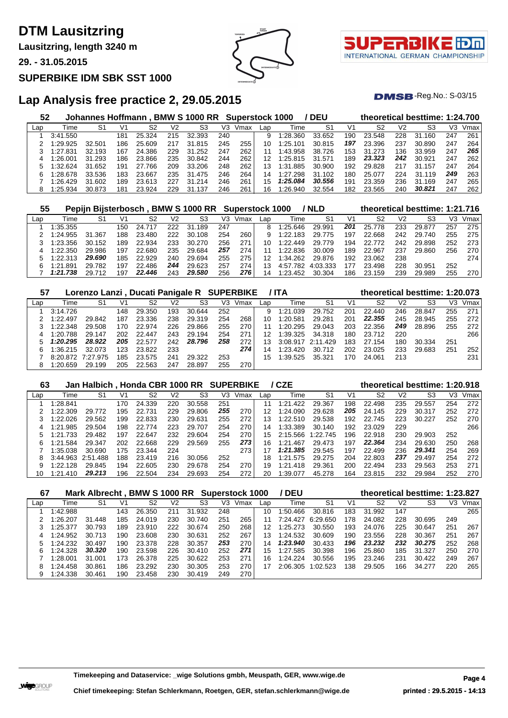**Lausitzring, length 3240 m**

**29. - 31.05.2015**

#### **SUPERBIKE IDM SBK SST 1000**





 $DMSB$ -Reg.No.:  $S-03/15$ 

## **Lap Analysis free practice 2, 29.05.2015**

| 52  |          | Johannes Hoffmann. |     |        |     | <b>BMW S 1000 RR</b> |     | <b>Superstock 1000</b> |     |              | <b>DEU</b> |     |        |                | theoretical besttime: 1:24.700 |     |      |
|-----|----------|--------------------|-----|--------|-----|----------------------|-----|------------------------|-----|--------------|------------|-----|--------|----------------|--------------------------------|-----|------|
| Lap | Time     | S1                 | V1  | S2     | V2  | S3                   | V3  | Vmax                   | Lap | Time         | S1         | V1  | S2     | V <sub>2</sub> | S3                             | V3  | Vmax |
|     | 3:41.550 |                    | 181 | 25.324 | 215 | 32.393               | 240 |                        | 9   | 1:28.360     | 33.652     | 190 | 23.548 | 228            | 31.<br>.160                    | 247 | 261  |
|     | 1:29.925 | 32.501             | 186 | 25.609 | 217 | 31<br>.815           | 245 | 255                    | 10  | 1:25.101     | 30.815     | 197 | 23.396 | 237            | 30.890                         | 247 | 264  |
|     | 1:27.831 | 32.193             | 167 | 24.386 | 229 | .252<br>31           | 247 | 262                    |     | 1:43.958     | 38.726     | 153 | 31.273 | 136            | 33.959                         | 247 | 265  |
|     | l:26.001 | 31.293             | 186 | 23.866 | 235 | 30.842               | 244 | 262                    | 12  | 1:25.815     | 31.571     | 189 | 23.323 | 242            | 30.921                         | 247 | 262  |
|     | 1:32.624 | 31.652             | 191 | 27.766 | 209 | 33.206               | 248 | 262                    |     | $\pm 31.885$ | 30.900     | 192 | 29.828 | 217            | 31.157                         | 247 | 264  |
| h   | 1:28.678 | 33.536             | 183 | 23.667 | 235 | 31<br>.475           | 246 | 264                    | 14  | .27<br>298   | 31.102     | 180 | 25.077 | 224            | 31.119                         | 249 | 263  |
|     | 1:26.429 | 31.602             | 189 | 23.613 | 227 | 31<br>.214           | 246 | 261                    | 15  | 1:25.084     | 30.556     | 191 | 23.359 | 236            | 169<br>31                      | 247 | 265  |
|     | 1:25.934 | 30.873             | 181 | 23.924 | 229 | 137<br>31            | 246 | 261                    | 16  | :26.940      | 32.554     | 182 | 23.565 | 240            | 30.821                         | 247 | 262  |

| 55  |              |        |     |        |     | Pepijn Bijsterbosch, BMW S 1000 RR Superstock 1000 |     |      |     |          | / NLD    |     | theoretical besttime: 1:21.716 |                |        |     |      |
|-----|--------------|--------|-----|--------|-----|----------------------------------------------------|-----|------|-----|----------|----------|-----|--------------------------------|----------------|--------|-----|------|
| Lap | Time         | S1     | V1  | S2     | V2  | S3                                                 | V3  | Vmax | Lap | Гіmе     | S1       | V1  | S2                             | V <sub>2</sub> | S3     | V3  | Vmax |
|     | 1:35.355     |        | 150 | 24.717 | 222 | 31.189                                             | 247 |      |     | 1:25.646 | 29.991   | 201 | 25.778                         | 233            | 29.877 | 257 | 275  |
|     | 1:24.955     | 31.367 | 188 | 23.480 | 222 | 30.108                                             | 254 | 260  | a   | 1:22.183 | 29.775   | 197 | 22.668                         | 242            | 29.740 | 255 | 275  |
|     | 1:23.356     | 30.152 | 189 | 22.934 | 233 | 30.270                                             | 256 | 271  | 10  | 1:22.449 | 29.779   | 194 | 22.772                         | 242            | 29.898 | 252 | 273  |
|     | 1:22.350     | 29.986 | 197 | 22.680 | 235 | 29.684                                             | 257 | 274  |     | 1:22.836 | 30.009   | 189 | 22.967                         | 237            | 29.860 | 256 | 270  |
|     | 1:22.313     | 29.690 | 185 | 22.929 | 240 | 29.694                                             | 255 | 275  |     | 1:34.262 | 29.876   | 192 | 23.062                         | 238            |        |     | 274  |
|     | 1:21<br>.891 | 29.782 | 197 | 22.486 | 244 | 29.623                                             | 257 | 274  |     | 4:57.782 | 4:03.333 | 177 | 23.498                         | 228            | 30.951 | 252 |      |
|     | 1:21.738     | 29.712 | 197 | 22.446 | 243 | 29,580                                             | 256 | 276  | 14  | 1:23.452 | 30.304   | 186 | 23.159                         | 239            | 29.989 | 255 | 270  |

| 57  |          | Lorenzo Lanzi, Ducati Panigale R SUPERBIKE |     |        |     |        |     |      | 7 TA |          |          |     | theoretical besttime: 1:20.073 |     |        |     |      |
|-----|----------|--------------------------------------------|-----|--------|-----|--------|-----|------|------|----------|----------|-----|--------------------------------|-----|--------|-----|------|
| Lap | Time     | S1                                         | V1  | S2     | V2  | S3     | VЗ  | Vmax | Lap  | Time     | -S1      | V1  | S2                             | V2  | S3     | VЗ  | Vmax |
|     | 3:14.726 |                                            | 148 | 29.350 | 193 | 30.644 | 252 |      | 9    | 1:21.039 | 29.752   | 201 | 22,440                         | 246 | 28.847 | 255 | 271  |
|     | 1:22.497 | 29.842                                     | 187 | 23.336 | 238 | 29.319 | 254 | 268  | 10   | 1:20.581 | 29.281   | 201 | 22.355                         | 245 | 28.945 | 255 | 272  |
|     | 1:22.348 | 29.508                                     | 170 | 22.974 | 226 | 29.866 | 255 | 270  |      | 1:20.295 | 29.043   | 203 | 22.356                         | 249 | 28.896 | 255 | 272  |
| 4   | 1:20.788 | 29.147                                     | 202 | 22,447 | 243 | 29.194 | 254 | 271  | 12   | 1:39.325 | 34.318   | 180 | 23.712                         | 220 |        |     | 266  |
|     | 1:20.295 | 28.922                                     | 205 | 22.577 | 242 | 28.796 | 258 | 272  | 13   | 3:08.917 | 2:11.429 | 183 | 27.154                         | 180 | 30.334 | 251 |      |
| h.  | 1:36.215 | 32.073                                     | 123 | 23.822 | 233 |        |     | 274  | 14   | 1:23.420 | 30.712   | 202 | 23.025                         | 233 | 29.683 | 251 | 252  |
|     | 8:20.872 | 7:27.975                                   | 185 | 23.575 | 241 | 29.322 | 253 |      | 15   | 1:39.525 | 35.321   | 170 | 24.061                         | 213 |        |     | 231  |
| 8   | 1:20.659 | 29.199                                     | 205 | 22.563 | 247 | 28.897 | 255 | 270  |      |          |          |     |                                |     |        |     |      |

| 63  |                   | Jan Halbich, Honda CBR 1000 RR SUPERBIKE |     |        |     |        |     |      |     | / CZE        |          |     | theoretical besttime: 1:20.918 |                |        |     |      |
|-----|-------------------|------------------------------------------|-----|--------|-----|--------|-----|------|-----|--------------|----------|-----|--------------------------------|----------------|--------|-----|------|
| Lap | Time              | S1                                       | V1  | S2     | V2  | S3     | V3  | Vmax | Lap | Time         | -S1      | V1  | S2                             | V <sub>2</sub> | S3     | VЗ  | Vmax |
|     | 1:28.841          |                                          | 170 | 24.339 | 220 | 30.558 | 251 |      | 11  | 1:21<br>.422 | 29.367   | 198 | 22.498                         | 235            | 29.557 | 254 | 272  |
|     | 1:22.309          | 29.772                                   | 195 | 22.731 | 229 | 29,806 | 255 | 270  | 12  | 1:24.090     | 29.628   | 205 | 24.145                         | 229            | 30.317 | 252 | 272  |
|     | 1:22.026          | 29.562                                   | 199 | 22.833 | 230 | 29.631 | 255 | 272  | 13  | 1:22.510     | 29.538   | 192 | 22.745                         | 223            | 30.227 | 252 | 270  |
| 4   | .985<br>1:21      | 29.504                                   | 198 | 22.774 | 223 | 29.707 | 254 | 270  | 14  | 1:33.389     | 30.140   | 192 | 23.029                         | 229            |        |     | 266  |
| 5.  | 1:21.733          | 29.482                                   | 197 | 22.647 | 232 | 29.604 | 254 | 270  | 15  | 2:15.566     | 1:22.745 | 196 | 22.918                         | 230            | 29.903 | 252 |      |
| 6   | 1:21.584          | 29.347                                   | 202 | 22.668 | 229 | 29.569 | 255 | 273  | 16  | .467<br>1:21 | 29.473   | 197 | 22.364                         | 234            | 29.630 | 250 | 268  |
|     | 1:35.038          | 30.690                                   | 175 | 23.344 | 224 |        |     | 273  | 17  | 1:21.385     | 29.545   | 197 | 22.499                         | 236            | 29.341 | 254 | 269  |
| 8   | 3:44.963 2:51.488 |                                          | 188 | 23.419 | 216 | 30.056 | 252 |      | 18  | 1:21.575     | 29.275   | 204 | 22.803                         | 237            | 29.497 | 254 | 272  |
| 9   | 1:22.128          | 29.845                                   | 194 | 22.605 | 230 | 29.678 | 254 | 270  | 19  | 1:21<br>.418 | 29.361   | 200 | 22.494                         | 233            | 29.563 | 253 | 271  |
| 10  | 1:21.410          | 29.213                                   | 196 | 22.504 | 234 | 29.693 | 254 | 272  | 20  | 1:39.077     | 45.278   | 164 | 23.815                         | 232            | 29.984 | 252 | 270  |

| 67  |          | Mark Albrecht, BMW S 1000 RR Superstock 1000 |     |        |     |            |     |      |                 | / DEU    |          |     | theoretical besttime: 1:23.827 |                |        |     |      |
|-----|----------|----------------------------------------------|-----|--------|-----|------------|-----|------|-----------------|----------|----------|-----|--------------------------------|----------------|--------|-----|------|
| Lap | Time     | S1                                           | V1  | S2     | V2  | S3         | V3  | Vmax | Lap             | Time     | S1       | V1  | S2                             | V <sub>2</sub> | S3     | V3  | Vmax |
|     | 1:42.988 |                                              | 143 | 26.350 | 211 | 31<br>.932 | 248 |      | 10              | 1:50.466 | 30.816   | 183 | 31.992                         | 147            |        |     | 265  |
|     | 1:26.207 | 31.448                                       | 185 | 24.019 | 230 | 30.740     | 251 | 265  |                 | 7:24.427 | 6:29.650 | 178 | 24.082                         | 228            | 30.695 | 249 |      |
|     | 1:25.377 | 30.793                                       | 189 | 23.910 | 222 | 30.674     | 250 | 268  | 12 <sup>°</sup> | 1:25.273 | 30.550   | 193 | 24.076                         | 225            | 30.647 | 251 | 267  |
| 4   | 1:24.952 | 30.713                                       | 190 | 23.608 | 230 | 30.631     | 252 | 267  | 13              | 1:24.532 | 30.609   | 190 | 23.556                         | 228            | 30.367 | 251 | 267  |
|     | 1:24.232 | 30.497                                       | 190 | 23.378 | 228 | 30.357     | 253 | 270  | 14              | 1:23.940 | 30.433   | 196 | 23.232                         | 232            | 30.275 | 252 | 268  |
|     | 1:24.328 | 30.320                                       | 190 | 23.598 | 226 | 30.410     | 252 | 271  | 15              | 1:27.585 | 30.398   | 196 | 25.860                         | 185            | 31.327 | 250 | 270  |
|     | 1:28.001 | 31.001                                       | 173 | 26.378 | 225 | 30.622     | 253 | 271  | 16              | 1:24.224 | 30.556   | 195 | 23.246                         | 231            | 30.422 | 249 | 267  |
| 8   | 1:24.458 | 30.861                                       | 186 | 23.292 | 230 | 30.305     | 253 | 270  |                 | 2:06.305 | 1:02.523 | 38  | 29.505                         | 166            | 34.277 | 220 | 265  |
| 9   | 1:24.338 | 30.461                                       | 190 | 23.458 | 230 | 30.419     | 249 | 270  |                 |          |          |     |                                |                |        |     |      |